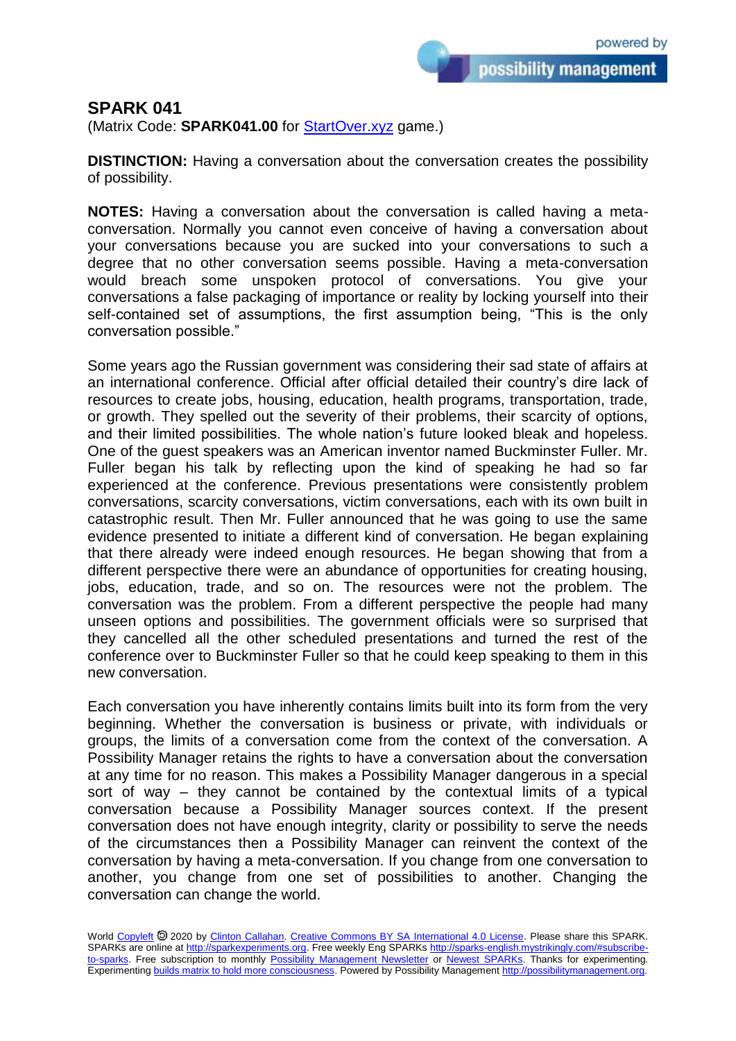possibility management

## **SPARK 041**

(Matrix Code: **SPARK041.00** for **StartOver.xyz** game.)

**DISTINCTION:** Having a conversation about the conversation creates the possibility of possibility.

**NOTES:** Having a conversation about the conversation is called having a metaconversation. Normally you cannot even conceive of having a conversation about your conversations because you are sucked into your conversations to such a degree that no other conversation seems possible. Having a meta-conversation would breach some unspoken protocol of conversations. You give your conversations a false packaging of importance or reality by locking yourself into their self-contained set of assumptions, the first assumption being, "This is the only conversation possible."

Some years ago the Russian government was considering their sad state of affairs at an international conference. Official after official detailed their country's dire lack of resources to create jobs, housing, education, health programs, transportation, trade, or growth. They spelled out the severity of their problems, their scarcity of options, and their limited possibilities. The whole nation's future looked bleak and hopeless. One of the guest speakers was an American inventor named Buckminster Fuller. Mr. Fuller began his talk by reflecting upon the kind of speaking he had so far experienced at the conference. Previous presentations were consistently problem conversations, scarcity conversations, victim conversations, each with its own built in catastrophic result. Then Mr. Fuller announced that he was going to use the same evidence presented to initiate a different kind of conversation. He began explaining that there already were indeed enough resources. He began showing that from a different perspective there were an abundance of opportunities for creating housing, jobs, education, trade, and so on. The resources were not the problem. The conversation was the problem. From a different perspective the people had many unseen options and possibilities. The government officials were so surprised that they cancelled all the other scheduled presentations and turned the rest of the conference over to Buckminster Fuller so that he could keep speaking to them in this new conversation.

Each conversation you have inherently contains limits built into its form from the very beginning. Whether the conversation is business or private, with individuals or groups, the limits of a conversation come from the context of the conversation. A Possibility Manager retains the rights to have a conversation about the conversation at any time for no reason. This makes a Possibility Manager dangerous in a special sort of way – they cannot be contained by the contextual limits of a typical conversation because a Possibility Manager sources context. If the present conversation does not have enough integrity, clarity or possibility to serve the needs of the circumstances then a Possibility Manager can reinvent the context of the conversation by having a meta-conversation. If you change from one conversation to another, you change from one set of possibilities to another. Changing the conversation can change the world.

World [Copyleft](https://en.wikipedia.org/wiki/Copyleft) @ 2020 by [Clinton Callahan.](http://clintoncallahan.mystrikingly.com/) [Creative Commons BY SA International 4.0 License.](https://creativecommons.org/licenses/by-sa/4.0/) Please share this SPARK. SPARKs are online at [http://sparkexperiments.org.](http://sparks-english.mystrikingly.com/) Free weekly Eng SPARKs [http://sparks-english.mystrikingly.com/#subscribe](http://sparks-english.mystrikingly.com/#subscribe-to-sparks)[to-sparks.](http://sparks-english.mystrikingly.com/#subscribe-to-sparks) Free subscription to monthly [Possibility Management Newsletter](https://possibilitymanagement.org/news/) or [Newest SPARKs.](https://www.clintoncallahan.org/newsletter-1) Thanks for experimenting. Experimentin[g builds matrix to hold more consciousness.](http://spaceport.mystrikingly.com/) Powered by Possibility Managemen[t http://possibilitymanagement.org.](http://possibilitymanagement.org/)